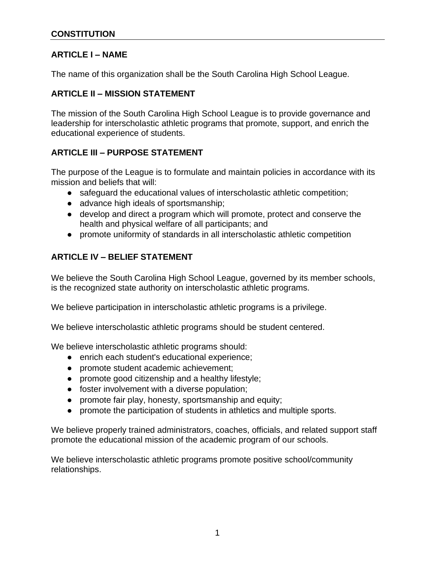## **ARTICLE I – NAME**

The name of this organization shall be the South Carolina High School League.

## **ARTICLE II – MISSION STATEMENT**

The mission of the South Carolina High School League is to provide governance and leadership for interscholastic athletic programs that promote, support, and enrich the educational experience of students.

## **ARTICLE III – PURPOSE STATEMENT**

The purpose of the League is to formulate and maintain policies in accordance with its mission and beliefs that will:

- safeguard the educational values of interscholastic athletic competition;
- advance high ideals of sportsmanship;
- develop and direct a program which will promote, protect and conserve the health and physical welfare of all participants; and
- promote uniformity of standards in all interscholastic athletic competition

## **ARTICLE IV – BELIEF STATEMENT**

We believe the South Carolina High School League, governed by its member schools, is the recognized state authority on interscholastic athletic programs.

We believe participation in interscholastic athletic programs is a privilege.

We believe interscholastic athletic programs should be student centered.

We believe interscholastic athletic programs should:

- enrich each student's educational experience;
- promote student academic achievement;
- promote good citizenship and a healthy lifestyle;
- foster involvement with a diverse population;
- promote fair play, honesty, sportsmanship and equity;
- promote the participation of students in athletics and multiple sports.

We believe properly trained administrators, coaches, officials, and related support staff promote the educational mission of the academic program of our schools.

We believe interscholastic athletic programs promote positive school/community relationships.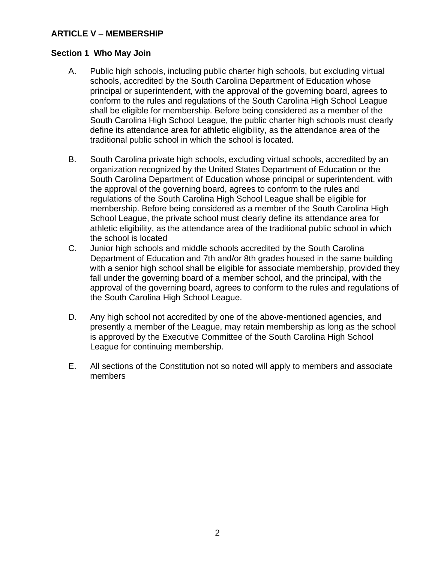## **ARTICLE V – MEMBERSHIP**

#### **Section 1 Who May Join**

- A. Public high schools, including public charter high schools, but excluding virtual schools, accredited by the South Carolina Department of Education whose principal or superintendent, with the approval of the governing board, agrees to conform to the rules and regulations of the South Carolina High School League shall be eligible for membership. Before being considered as a member of the South Carolina High School League, the public charter high schools must clearly define its attendance area for athletic eligibility, as the attendance area of the traditional public school in which the school is located.
- B. South Carolina private high schools, excluding virtual schools, accredited by an organization recognized by the United States Department of Education or the South Carolina Department of Education whose principal or superintendent, with the approval of the governing board, agrees to conform to the rules and regulations of the South Carolina High School League shall be eligible for membership. Before being considered as a member of the South Carolina High School League, the private school must clearly define its attendance area for athletic eligibility, as the attendance area of the traditional public school in which the school is located
- C. Junior high schools and middle schools accredited by the South Carolina Department of Education and 7th and/or 8th grades housed in the same building with a senior high school shall be eligible for associate membership, provided they fall under the governing board of a member school, and the principal, with the approval of the governing board, agrees to conform to the rules and regulations of the South Carolina High School League.
- D. Any high school not accredited by one of the above-mentioned agencies, and presently a member of the League, may retain membership as long as the school is approved by the Executive Committee of the South Carolina High School League for continuing membership.
- E. All sections of the Constitution not so noted will apply to members and associate members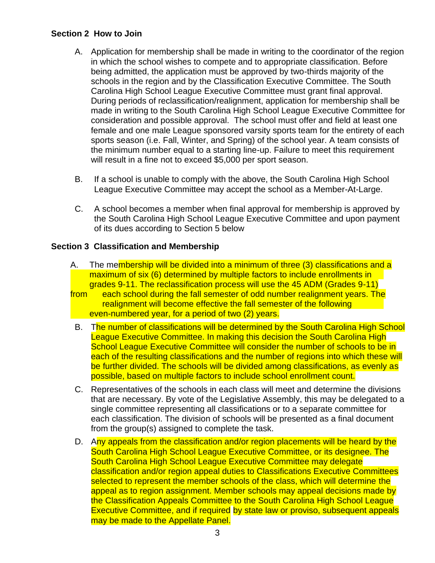### **Section 2 How to Join**

- A. Application for membership shall be made in writing to the coordinator of the region in which the school wishes to compete and to appropriate classification. Before being admitted, the application must be approved by two-thirds majority of the schools in the region and by the Classification Executive Committee. The South Carolina High School League Executive Committee must grant final approval. During periods of reclassification/realignment, application for membership shall be made in writing to the South Carolina High School League Executive Committee for consideration and possible approval. The school must offer and field at least one female and one male League sponsored varsity sports team for the entirety of each sports season (i.e. Fall, Winter, and Spring) of the school year. A team consists of the minimum number equal to a starting line-up. Failure to meet this requirement will result in a fine not to exceed \$5,000 per sport season.
- B. If a school is unable to comply with the above, the South Carolina High School League Executive Committee may accept the school as a Member-At-Large.
- C. A school becomes a member when final approval for membership is approved by the South Carolina High School League Executive Committee and upon payment of its dues according to Section 5 below

## **Section 3 Classification and Membership**

- A. The membership will be divided into a minimum of three (3) classifications and a maximum of six (6) determined by multiple factors to include enrollments in grades 9-11. The reclassification process will use the 45 ADM (Grades 9-11)
- from each school during the fall semester of odd number realignment years. The realignment will become effective the fall semester of the following even-numbered year, for a period of two (2) years.
- B. The number of classifications will be determined by the South Carolina High School League Executive Committee. In making this decision the South Carolina High School League Executive Committee will consider the number of schools to be in each of the resulting classifications and the number of regions into which these will be further divided. The schools will be divided among classifications, as evenly as possible, based on multiple factors to include school enrollment count.
- C. Representatives of the schools in each class will meet and determine the divisions that are necessary. By vote of the Legislative Assembly, this may be delegated to a single committee representing all classifications or to a separate committee for each classification. The division of schools will be presented as a final document from the group(s) assigned to complete the task.
- D. Any appeals from the classification and/or region placements will be heard by the South Carolina High School League Executive Committee, or its designee. The South Carolina High School League Executive Committee may delegate classification and/or region appeal duties to Classifications Executive Committees selected to represent the member schools of the class, which will determine the appeal as to region assignment. Member schools may appeal decisions made by the Classification Appeals Committee to the South Carolina High School League Executive Committee, and if required by state law or proviso, subsequent appeals may be made to the Appellate Panel.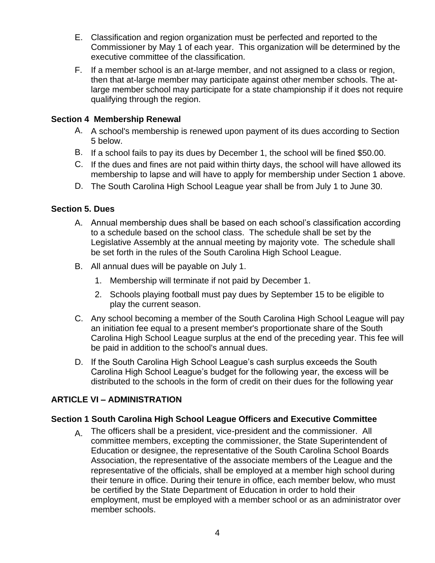- E. Classification and region organization must be perfected and reported to the Commissioner by May 1 of each year. This organization will be determined by the executive committee of the classification.
- F. If a member school is an at-large member, and not assigned to a class or region, then that at-large member may participate against other member schools. The atlarge member school may participate for a state championship if it does not require qualifying through the region.

## **Section 4 Membership Renewal**

- A. A school's membership is renewed upon payment of its dues according to Section 5 below.
- B. If a school fails to pay its dues by December 1, the school will be fined \$50.00.
- C. If the dues and fines are not paid within thirty days, the school will have allowed its membership to lapse and will have to apply for membership under Section 1 above.
- D. The South Carolina High School League year shall be from July 1 to June 30.

## **Section 5. Dues**

- A. Annual membership dues shall be based on each school's classification according to a schedule based on the school class. The schedule shall be set by the Legislative Assembly at the annual meeting by majority vote. The schedule shall be set forth in the rules of the South Carolina High School League.
- B. All annual dues will be payable on July 1.
	- 1. Membership will terminate if not paid by December 1.
	- 2. Schools playing football must pay dues by September 15 to be eligible to play the current season.
- C. Any school becoming a member of the South Carolina High School League will pay an initiation fee equal to a present member's proportionate share of the South Carolina High School League surplus at the end of the preceding year. This fee will be paid in addition to the school's annual dues.
- D. If the South Carolina High School League's cash surplus exceeds the South Carolina High School League's budget for the following year, the excess will be distributed to the schools in the form of credit on their dues for the following year

## **ARTICLE VI – ADMINISTRATION**

### **Section 1 South Carolina High School League Officers and Executive Committee**

A. The officers shall be a president, vice-president and the commissioner. All committee members, excepting the commissioner, the State Superintendent of Education or designee, the representative of the South Carolina School Boards Association, the representative of the associate members of the League and the representative of the officials, shall be employed at a member high school during their tenure in office. During their tenure in office, each member below, who must be certified by the State Department of Education in order to hold their employment, must be employed with a member school or as an administrator over member schools.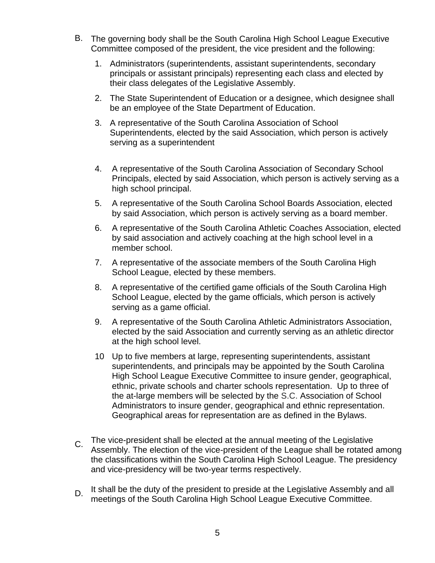- B. The governing body shall be the South Carolina High School League Executive Committee composed of the president, the vice president and the following:
	- 1. Administrators (superintendents, assistant superintendents, secondary principals or assistant principals) representing each class and elected by their class delegates of the Legislative Assembly.
	- 2. The State Superintendent of Education or a designee, which designee shall be an employee of the State Department of Education.
	- 3. A representative of the South Carolina Association of School Superintendents, elected by the said Association, which person is actively serving as a superintendent
	- 4. A representative of the South Carolina Association of Secondary School Principals, elected by said Association, which person is actively serving as a high school principal.
	- 5. A representative of the South Carolina School Boards Association, elected by said Association, which person is actively serving as a board member.
	- 6. A representative of the South Carolina Athletic Coaches Association, elected by said association and actively coaching at the high school level in a member school.
	- 7. A representative of the associate members of the South Carolina High School League, elected by these members.
	- 8. A representative of the certified game officials of the South Carolina High School League, elected by the game officials, which person is actively serving as a game official.
	- 9. A representative of the South Carolina Athletic Administrators Association, elected by the said Association and currently serving as an athletic director at the high school level.
	- 10 Up to five members at large, representing superintendents, assistant superintendents, and principals may be appointed by the South Carolina High School League Executive Committee to insure gender, geographical, ethnic, private schools and charter schools representation. Up to three of the at-large members will be selected by the S.C. Association of School Administrators to insure gender, geographical and ethnic representation. Geographical areas for representation are as defined in the Bylaws.
- C. The vice-president shall be elected at the annual meeting of the Legislative Assembly. The election of the vice-president of the League shall be rotated among the classifications within the South Carolina High School League. The presidency and vice-presidency will be two-year terms respectively.
- D. It shall be the duty of the president to preside at the Legislative Assembly and all meetings of the South Carolina High School League Executive Committee.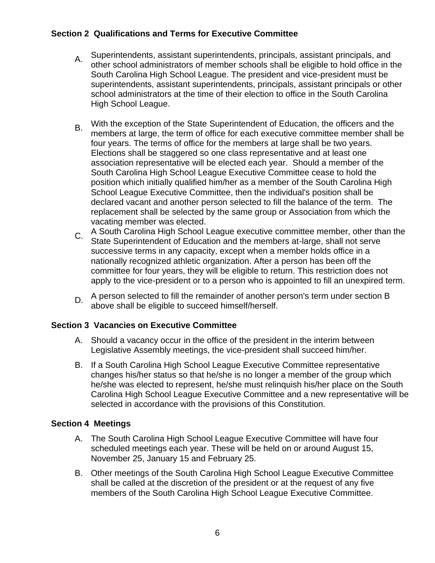## **Section 2 Qualifications and Terms for Executive Committee**

- A. Superintendents, assistant superintendents, principals, assistant principals, and other school administrators of member schools shall be eligible to hold office in the South Carolina High School League. The president and vice-president must be superintendents, assistant superintendents, principals, assistant principals or other school administrators at the time of their election to office in the South Carolina High School League.
- B. With the exception of the State Superintendent of Education, the officers and the members at large, the term of office for each executive committee member shall be four years. The terms of office for the members at large shall be two years. Elections shall be staggered so one class representative and at least one association representative will be elected each year. Should a member of the South Carolina High School League Executive Committee cease to hold the position which initially qualified him/her as a member of the South Carolina High School League Executive Committee, then the individual's position shall be declared vacant and another person selected to fill the balance of the term. The replacement shall be selected by the same group or Association from which the vacating member was elected.
- C. A South Carolina High School League executive committee member, other than the State Superintendent of Education and the members at-large, shall not serve successive terms in any capacity, except when a member holds office in a nationally recognized athletic organization. After a person has been off the committee for four years, they will be eligible to return. This restriction does not apply to the vice-president or to a person who is appointed to fill an unexpired term.
- D. A person selected to fill the remainder of another person's term under section B above shall be eligible to succeed himself/herself.

### **Section 3 Vacancies on Executive Committee**

- A. Should a vacancy occur in the office of the president in the interim between Legislative Assembly meetings, the vice-president shall succeed him/her.
- B. If a South Carolina High School League Executive Committee representative changes his/her status so that he/she is no longer a member of the group which he/she was elected to represent, he/she must relinquish his/her place on the South Carolina High School League Executive Committee and a new representative will be selected in accordance with the provisions of this Constitution.

### **Section 4 Meetings**

- A. The South Carolina High School League Executive Committee will have four scheduled meetings each year. These will be held on or around August 15, November 25, January 15 and February 25.
- B. Other meetings of the South Carolina High School League Executive Committee shall be called at the discretion of the president or at the request of any five members of the South Carolina High School League Executive Committee.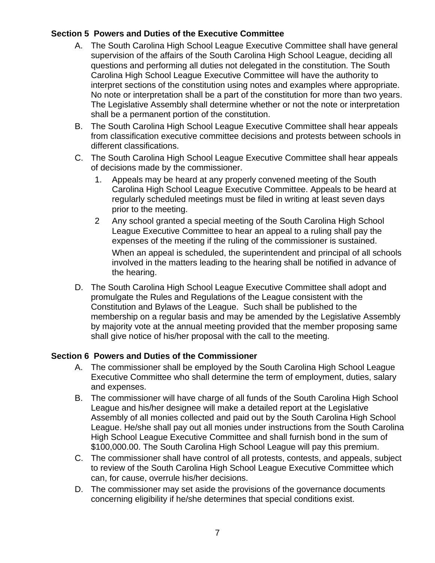# **Section 5 Powers and Duties of the Executive Committee**

- A. The South Carolina High School League Executive Committee shall have general supervision of the affairs of the South Carolina High School League, deciding all questions and performing all duties not delegated in the constitution. The South Carolina High School League Executive Committee will have the authority to interpret sections of the constitution using notes and examples where appropriate. No note or interpretation shall be a part of the constitution for more than two years. The Legislative Assembly shall determine whether or not the note or interpretation shall be a permanent portion of the constitution.
- B. The South Carolina High School League Executive Committee shall hear appeals from classification executive committee decisions and protests between schools in different classifications.
- C. The South Carolina High School League Executive Committee shall hear appeals of decisions made by the commissioner.
	- 1. Appeals may be heard at any properly convened meeting of the South Carolina High School League Executive Committee. Appeals to be heard at regularly scheduled meetings must be filed in writing at least seven days prior to the meeting.
	- 2 Any school granted a special meeting of the South Carolina High School League Executive Committee to hear an appeal to a ruling shall pay the expenses of the meeting if the ruling of the commissioner is sustained. When an appeal is scheduled, the superintendent and principal of all schools involved in the matters leading to the hearing shall be notified in advance of the hearing.
- D. The South Carolina High School League Executive Committee shall adopt and promulgate the Rules and Regulations of the League consistent with the Constitution and Bylaws of the League. Such shall be published to the membership on a regular basis and may be amended by the Legislative Assembly by majority vote at the annual meeting provided that the member proposing same shall give notice of his/her proposal with the call to the meeting.

## **Section 6 Powers and Duties of the Commissioner**

- A. The commissioner shall be employed by the South Carolina High School League Executive Committee who shall determine the term of employment, duties, salary and expenses.
- B. The commissioner will have charge of all funds of the South Carolina High School League and his/her designee will make a detailed report at the Legislative Assembly of all monies collected and paid out by the South Carolina High School League. He/she shall pay out all monies under instructions from the South Carolina High School League Executive Committee and shall furnish bond in the sum of \$100,000.00. The South Carolina High School League will pay this premium.
- C. The commissioner shall have control of all protests, contests, and appeals, subject to review of the South Carolina High School League Executive Committee which can, for cause, overrule his/her decisions.
- D. The commissioner may set aside the provisions of the governance documents concerning eligibility if he/she determines that special conditions exist.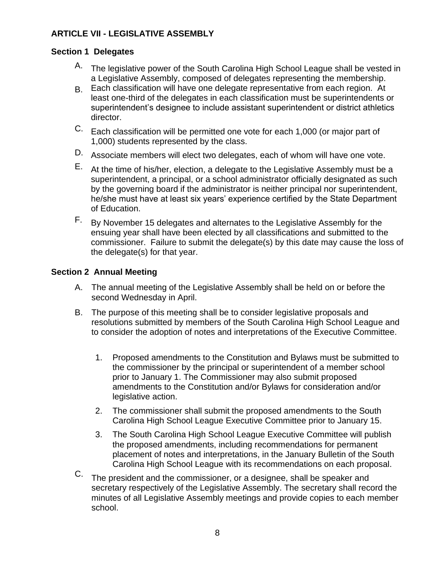# **ARTICLE VII - LEGISLATIVE ASSEMBLY**

## **Section 1 Delegates**

- A. The legislative power of the South Carolina High School League shall be vested in a Legislative Assembly, composed of delegates representing the membership.
- B. Each classification will have one delegate representative from each region. At least one-third of the delegates in each classification must be superintendents or superintendent's designee to include assistant superintendent or district athletics director.
- C. Each classification will be permitted one vote for each 1,000 (or major part of 1,000) students represented by the class.
- D. Associate members will elect two delegates, each of whom will have one vote.
- E. At the time of his/her, election, a delegate to the Legislative Assembly must be a superintendent, a principal, or a school administrator officially designated as such by the governing board if the administrator is neither principal nor superintendent, he/she must have at least six years' experience certified by the State Department of Education.
- F. By November 15 delegates and alternates to the Legislative Assembly for the ensuing year shall have been elected by all classifications and submitted to the commissioner. Failure to submit the delegate(s) by this date may cause the loss of the delegate(s) for that year.

## **Section 2 Annual Meeting**

- A. The annual meeting of the Legislative Assembly shall be held on or before the second Wednesday in April.
- B. The purpose of this meeting shall be to consider legislative proposals and resolutions submitted by members of the South Carolina High School League and to consider the adoption of notes and interpretations of the Executive Committee.
	- 1. Proposed amendments to the Constitution and Bylaws must be submitted to the commissioner by the principal or superintendent of a member school prior to January 1. The Commissioner may also submit proposed amendments to the Constitution and/or Bylaws for consideration and/or legislative action.
	- 2. The commissioner shall submit the proposed amendments to the South Carolina High School League Executive Committee prior to January 15.
	- 3. The South Carolina High School League Executive Committee will publish the proposed amendments, including recommendations for permanent placement of notes and interpretations, in the January Bulletin of the South Carolina High School League with its recommendations on each proposal.
- C. The president and the commissioner, or a designee, shall be speaker and secretary respectively of the Legislative Assembly. The secretary shall record the minutes of all Legislative Assembly meetings and provide copies to each member school.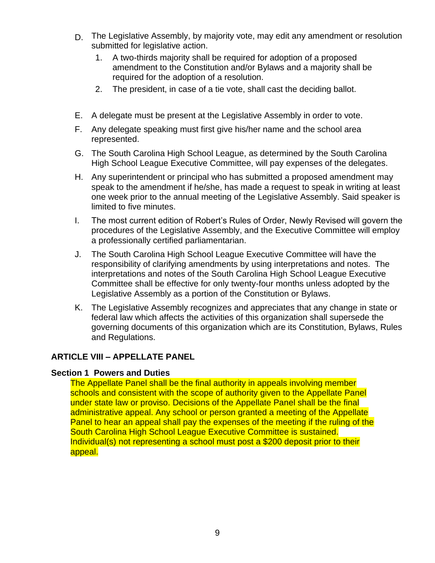- D. The Legislative Assembly, by majority vote, may edit any amendment or resolution submitted for legislative action.
	- 1. A two-thirds majority shall be required for adoption of a proposed amendment to the Constitution and/or Bylaws and a majority shall be required for the adoption of a resolution.
	- 2. The president, in case of a tie vote, shall cast the deciding ballot.
- E. A delegate must be present at the Legislative Assembly in order to vote.
- F. Any delegate speaking must first give his/her name and the school area represented.
- G. The South Carolina High School League, as determined by the South Carolina High School League Executive Committee, will pay expenses of the delegates.
- H. Any superintendent or principal who has submitted a proposed amendment may speak to the amendment if he/she, has made a request to speak in writing at least one week prior to the annual meeting of the Legislative Assembly. Said speaker is limited to five minutes.
- I. The most current edition of Robert's Rules of Order, Newly Revised will govern the procedures of the Legislative Assembly, and the Executive Committee will employ a professionally certified parliamentarian.
- J. The South Carolina High School League Executive Committee will have the responsibility of clarifying amendments by using interpretations and notes. The interpretations and notes of the South Carolina High School League Executive Committee shall be effective for only twenty-four months unless adopted by the Legislative Assembly as a portion of the Constitution or Bylaws.
- K. The Legislative Assembly recognizes and appreciates that any change in state or federal law which affects the activities of this organization shall supersede the governing documents of this organization which are its Constitution, Bylaws, Rules and Regulations.

## **ARTICLE VIII – APPELLATE PANEL**

### **Section 1 Powers and Duties**

The Appellate Panel shall be the final authority in appeals involving member schools and consistent with the scope of authority given to the Appellate Panel under state law or proviso. Decisions of the Appellate Panel shall be the final administrative appeal. Any school or person granted a meeting of the Appellate Panel to hear an appeal shall pay the expenses of the meeting if the ruling of the South Carolina High School League Executive Committee is sustained. Individual(s) not representing a school must post a \$200 deposit prior to their appeal.